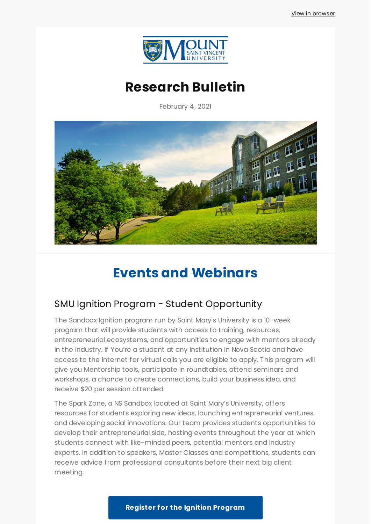

# **Research Bulletin**

February 4, 2021



# **Events and Webinars**

## SMU Ignition Program - Student Opportunity

The Sandbox Ignition program run by Saint Mary's University is a 10-week program that will provide students with access to training, resources, entrepreneurial ecosystems, and opportunities to engage with mentors already in the industry. If You're a student at any institution in Nova Scotia and have access to the internet for virtual calls you are eligible to apply. This program will give you Mentorship tools, participate in roundtables, attend seminars and workshops, a chance to create connections, build your business idea, and receive \$20 per session attended.

The Spark Zone, a NS Sandbox located at Saint Mary's University, offers resources for students exploring new ideas, launching entrepreneurial ventures, and developing social innovations. Our team provides students opportunities to develop their entrepreneurial side, hosting events throughout the year at which students connect with like-minded peers, potential mentors and industry experts. In addition to speakers, Master Classes and competitions, students can receive advice from professional consultants before their next big client meeting.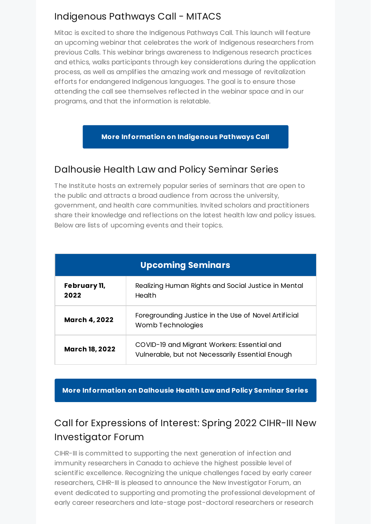## Indigenous Pathways Call - MITACS

Mitac is excited to share the Indigenous Pathways Call. This launch will feature an upcoming webinar that celebrates the work of Indigenous researchers from previous Calls. This webinar brings awareness to Indigenous research practices and ethics, walks participants through key considerations during the application process, as well as amplifies the amazing work and message of revitalization efforts for endangered Indigenous languages. The goal is to ensure those attending the call see themselves reflected in the webinar space and in our programs, and that the information is relatable.

#### **More [Information](https://discover.mitacs.ca/indigenous/) on Indigenous Pathways Call**

### Dalhousie Health Law and Policy Seminar Series

The Institute hosts an extremely popular series of seminars that are open to the public and attracts a broad audience from across the university, government, and health care communities. Invited scholars and practitioners share their knowledge and reflections on the latest health law and policy issues. Below are lists of upcoming events and their topics.

| <b>Upcoming Seminars</b> |                                                                                                 |
|--------------------------|-------------------------------------------------------------------------------------------------|
| February 11,<br>2022     | Realizing Human Rights and Social Justice in Mental<br>Health                                   |
| <b>March 4, 2022</b>     | Foregrounding Justice in the Use of Novel Artificial<br>Womb Technologies                       |
| <b>March 18, 2022</b>    | COVID-19 and Migrant Workers: Essential and<br>Vulnerable, but not Necessarily Essential Enough |

**More [Information](https://www.dal.ca/faculty/law/hli/seminar-series.html) on Dalhousie Health Law and Policy Seminar Series**

# Call for Expressions of Interest: Spring 2022 CIHR-III New Investigator Forum

CIHR-III is committed to supporting the next generation of infection and immunity researchers in Canada to achieve the highest possible level of scientific excellence. Recognizing the unique challenges faced by early career researchers, CIHR-III is pleased to announce the New Investigator Forum, an event dedicated to supporting and promoting the professional development of early career researchers and late-stage post-doctoral researchers or research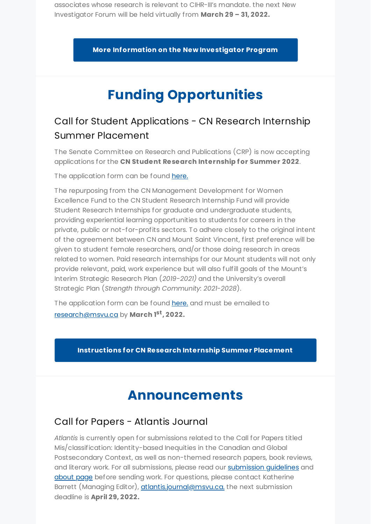associates whose research is relevant to CIHR-III's mandate. the next New Investigator Forum will be held virtually from **March 29 – 31, 2022.**

**More Information on the New [Investigator](https://cihr-irsc.gc.ca/e/52688.html) Program**

# **Funding Opportunities**

# Call for Student Applications - CN Research Internship Summer Placement

The Senate Committee on Research and Publications (CRP) is now accepting applications for the **CN Student Research Internship for Summer 2022**.

The application form can be found [here.](https://www.msvu.ca/wp-content/uploads/2020/05/CRP.FORM_.01020CN20Research20Internship.docx)

The repurposing from the CN Management Development for Women Excellence Fund to the CN Student Research Internship Fund will provide Student Research Internships for graduate and undergraduate students, providing experiential learning opportunities to students for careers in the private, public or not-for-profits sectors. To adhere closely to the original intent of the agreement between CN and Mount Saint Vincent, first preference will be given to student female researchers, and/or those doing research in areas related to women. Paid research internships for our Mount students will not only provide relevant, paid, work experience but will also fulfill goals of the Mount's Interim Strategic Research Plan (*2019-2021)* and the University's overall Strategic Plan (*Strength through Community: 2021-2028*).

The application form can be found [here.](https://www.msvu.ca/wp-content/uploads/2020/05/CRP.FORM_.01020CN20Research20Internship.docx) and must be emailed to [research@msvu.ca](mailto:research@msvu.ca) by **March 1 st , 2022.**

**[Instructions](https://www.msvu.ca/wp-content/uploads/2019/01/CRP.INST_.010-CN-Research-Internship-Mar-2020.pdf) for CN Research Internship Summer Placement**

# **Announcements**

## Call for Papers - Atlantis Journal

*Atlantis* is currently open for submissions related to the Call for Papers titled Mis/classification: Identity-based Inequities in the Canadian and Global Postsecondary Context, as well as non-themed research papers, book reviews, and literary work. For all submissions, please read our [submission](https://journals.msvu.ca/index.php/atlantis/about/submissions) guidelines and [about](https://journals.msvu.ca/index.php/atlantis/about) page before sending work. For questions, please contact Katherine Barrett (Managing Editor), [atlantis.journal@msvu.ca.](mailto:atlantis.journal@msvu.ca.) the next submission deadline is **April 29, 2022.**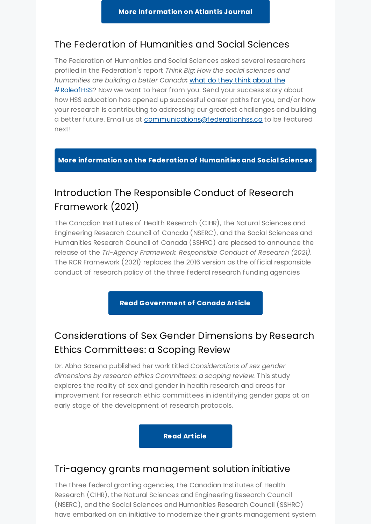### The Federation of [Humanities](https://www.federationhss.ca/en/programs-policy/advocacy/RoleofHSS) and Social Sciences

The Federation of Humanities and Social Sciences asked several researchers profiled in the Federation's report *Think Big*: *How the social sciences and humanities are building a better Canada***:** what do they think about the **# Roleof HSS**? Now we want to hear from you. Send your success story about how HSS education has opened up successful career paths for you, and/or how your research is contributing to addressing our greatest challenges and building a better future. Email us at [communications@federationhss.ca](mailto:communications@federationhss.ca) to be featured next!

#### **More [information](https://www.federationhss.ca/en/programs-policy/advocacy/RoleofHSS) on the Federation of Humanities and Social Sciences**

## Introduction The [Responsible](https://rcr.ethics.gc.ca/eng/news-nouvelles_2021-12-17.html) Conduct of Research Framework (2021)

The Canadian Institutes of Health Research (CIHR), the Natural Sciences and Engineering Research Council of Canada (NSERC), and the Social Sciences and Humanities Research Council of Canada (SSHRC) are pleased to announce the release of the *Tri-Agency Framework: Responsible Conduct of Research (2021)*. The RCR Framework (2021) replaces the 2016 version as the official responsible conduct of research policy of the three federal research funding agencies

**Read [Government](https://rcr.ethics.gc.ca/eng/news-nouvelles_2021-12-17.html) of Canada Article**

# Considerations of Sex Gender Dimensions by Research Ethics Committees: a Scoping Review

Dr. Abha Saxena published her work titled *Considerations of sex gender dimensions by research ethics Committees: a scoping review.* This study explores the reality of sex and gender in health research and areas for improvement for research ethic committees in identifying gender gaps at an early stage of the development of research protocols.

**Read [Article](https://journals.msvu.ca/index.php/atlantis/callforpapers)**

### Tri-agency grants management solution initiative

The three federal granting agencies, the Canadian Institutes of Health Research (CIHR), the Natural Sciences and Engineering Research Council (NSERC), and the Social Sciences and Humanities Research Council (SSHRC) have embarked on an initiative to modernize their grants management system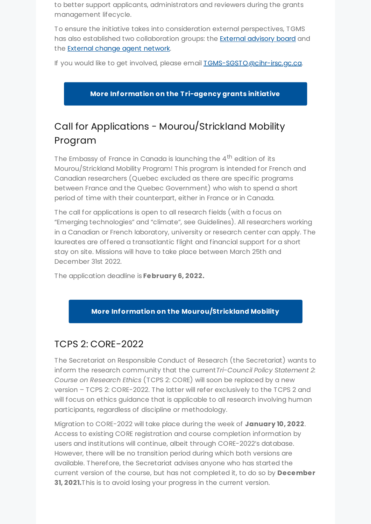to better support applicants, administrators and reviewers during the grants management lifecycle.

To ensure the initiative takes into consideration external perspectives, TGMS has also established two collaboration groups: the External [advisory](https://science.gc.ca/eic/site/063.nsf/eng/h_98250.html#eab) board and the External change agent [network.](https://science.gc.ca/eic/site/063.nsf/eng/h_98250.html#ecan)

If you would like to get involved, please email **IGMS-SGSTO@cihr-irsc.gc.ca**.

**More [Information](https://science.gc.ca/eic/site/063.nsf/eng/h_97924.html) on the Tri-agency grants initiative**

# Call for Applications - Mourou/Strickland Mobility Program

The Embassy of France in Canada is launching the 4<sup>th</sup> edition of its Mourou/Strickland Mobility Program! This program is intended for French and Canadian researchers (Quebec excluded as there are specific programs between France and the Quebec Government) who wish to spend a short period of time with their counterpart, either in France or in Canada.

The call for applications is open to all research fields (with a focus on "Emerging technologies" and "climate", see Guidelines). All researchers working in a Canadian or French laboratory, university or research center can apply. The laureates are offered a transatlantic flight and financial support for a short stay on site. Missions will have to take place between March 25th and December 31st 2022.

The application deadline is **February 6, 2022.**

#### **More Information on the [Mourou/Strickland](https://francecanadaculture.org/appel-a-candidatures-programme-mourou-strickland-mobilite-des-chercheurs-2022/) Mobility**

## TCPS 2: CORE-2022

The Secretariat on Responsible Conduct of Research (the Secretariat) wants to inform the research community that the current*Tri-Council Policy Statement 2: Course on Research Ethics* (TCPS 2: CORE) will soon be replaced by a new version – TCPS 2: CORE-2022. The latter will refer exclusively to the TCPS 2 and will focus on ethics guidance that is applicable to all research involving human participants, regardless of discipline or methodology.

Migration to CORE-2022 will take place during the week of **January 10, 2022**. Access to existing CORE registration and course completion information by users and institutions will continue, albeit through CORE-2022's database. However, there will be no transition period during which both versions are available. Therefore, the Secretariat advises anyone who has started the current version of the course, but has not completed it, to do so by **December 31, 2021.**This is to avoid losing your progress in the current version.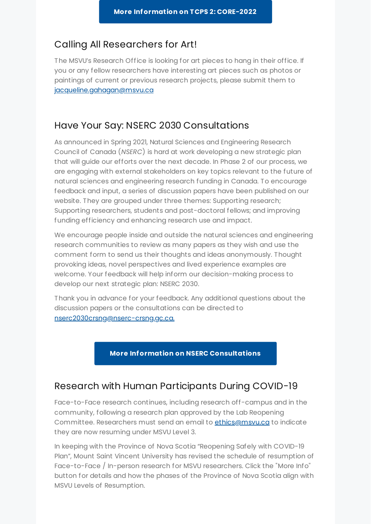### Calling All Researchers for Art!

The MSVU's Research Office is looking for art pieces to hang in their office. If you or any fellow researchers have interesting art pieces such as photos or paintings of current or previous research projects, please submit them to [jacqueline.gahagan@msvu.ca](mailto:jacqueline.gahagan@msvu.ca.)

### Have Your Say: NSERC 2030 Consultations

As announced in Spring 2021, Natural Sciences and Engineering Research Council of Canada (*NSERC*) is hard at work developing a new strategic plan that will guide our efforts over the next decade. In Phase 2 of our process, we are engaging with external stakeholders on key topics relevant to the future of natural sciences and engineering research funding in Canada. To encourage feedback and input, a series of discussion papers have been published on our website. They are grouped under three themes: Supporting research; Supporting researchers, students and post-doctoral fellows; and improving funding efficiency and enhancing research use and impact.

We encourage people inside and outside the natural sciences and engineering research communities to review as many papers as they wish and use the comment form to send us their thoughts and ideas anonymously. Thought provoking ideas, novel perspectives and lived experience examples are welcome. Your feedback will help inform our decision-making process to develop our next strategic plan: NSERC 2030.

Thank you in advance for your feedback. Any additional questions about the discussion papers or the consultations can be directed to [nserc2030crsng@nserc-crsng.gc.ca.](https://www.nserc-crsng.gc.ca/NSERC-CRSNG/NSERC2030-CRSNG2030/index_eng.asp)

#### **More Information on NSERC [Consultations](https://www.nserc-crsng.gc.ca/NSERC-CRSNG/NSERC2030-CRSNG2030/index_eng.asp)**

#### Research with Human Participants During COVID-19

Face-to-Face research continues, including research off-campus and in the community, following a research plan approved by the Lab Reopening Committee. Researchers must send an email to [ethics@msvu.ca](mailto:ethics@msvu.ca) to indicate they are now resuming under MSVU Level 3.

In keeping with the Province of Nova Scotia "Reopening Safely with COVID-19 Plan", Mount Saint Vincent University has revised the schedule of resumption of Face-to-Face / In-person research for MSVU researchers. Click the "More Info" button for details and how the phases of the Province of Nova Scotia align with MSVU Levels of Resumption.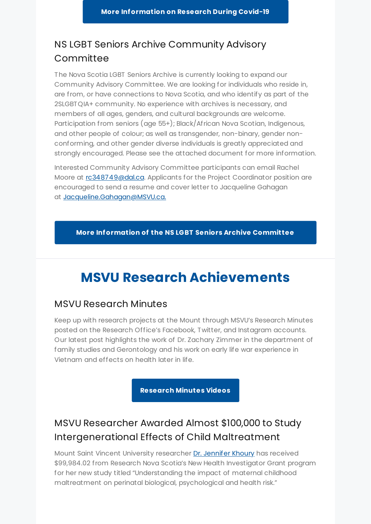## NS LGBT Seniors Archive Community Advisory Committee

The Nova Scotia LGBT Seniors Archive is currently looking to expand our Community Advisory Committee. We are looking for individuals who reside in, are from, or have connections to Nova Scotia, and who identify as part of the 2SLGBTQIA+ community. No experience with archives is necessary, and members of all ages, genders, and cultural backgrounds are welcome. Participation from seniors (age 55+); Black/African Nova Scotian, Indigenous, and other people of colour; as well as transgender, non-binary, gender nonconforming, and other gender diverse individuals is greatly appreciated and strongly encouraged. Please see the attached document for more information.

Interested Community Advisory Committee participants can email Rachel Moore at [rc348749@dal.ca.](mailto:rc348749@dal.ca) Applicants for the Project Coordinator position are encouraged to send a resume and cover letter to Jacqueline Gahagan at [Jacqueline.Gahagan@MSVU.ca.](mailto:jacqueline.gahagan@MSVU.ca.)

**More [Information](https://www.dal.ca/sites/lgbt-archives/our-team.html) of the NS LGBT Seniors Archive Committee**

# **MSVU Research Achievements**

#### MSVU Research Minutes

Keep up with research projects at the Mount through MSVU's Research Minutes posted on the Research Office's Facebook, Twitter, and Instagram accounts. Our latest post highlights the work of Dr. Zachary Zimmer in the department of family studies and Gerontology and his work on early life war experience in Vietnam and effects on health later in life.

**[Research](https://www.msvu.ca/research-at-the-mount/about-us/research-communications-at-msvu/) Minutes Videos**

# MSVU Researcher Awarded Almost \$100,000 to Study Intergenerational Effects of Child Maltreatment

Mount Saint Vincent University researcher Dr. [Jennifer](https://www.msvu.ca/academics/bachelor-of-science-bsc/psychology/faculty-and-staff/dr-jennifer-khoury/) Khoury has received \$99,984.02 from Research Nova Scotia's New Health Investigator Grant program for her new study titled "Understanding the impact of maternal childhood maltreatment on perinatal biological, psychological and health risk."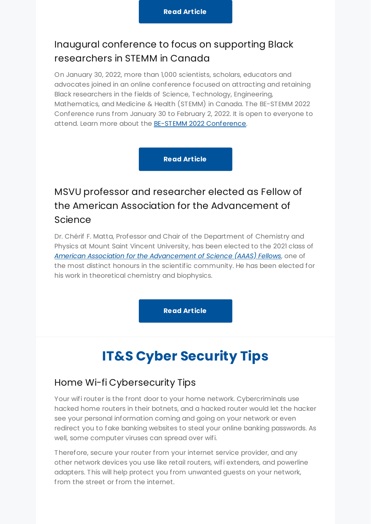## Inaugural conference to focus on supporting Black researchers in STEMM in Canada

On January 30, 2022, more than 1,000 scientists, scholars, educators and advocates joined in an online conference focused on attracting and retaining Black researchers in the fields of Science, Technology, Engineering, Mathematics, and Medicine & Health (STEMM) in Canada. The BE-STEMM 2022 Conference runs from January 30 to February 2, 2022. It is open to everyone to attend. Learn more about the BE-STEMM 2022 [Conference](https://be-stemm.blackscientists.ca/).

**Read [Article](https://www.msvu.ca/inaugural-conference-to-focus-on-supporting-black-researchers-in-stemm-in-canada/)**

# MSVU professor and researcher elected as Fellow of the American Association for the Advancement of Science

Dr. Chérif F. Matta, Professor and Chair of the Department of Chemistry and Physics at Mount Saint Vincent University, has been elected to the 2021 class of *American Association for the [Advancement](https://www.aaas.org/fellows) of Science (AAAS) Fellows*, one of the most distinct honours in the scientific community. He has been elected for his work in theoretical chemistry and biophysics.

**Read [Article](https://www.msvu.ca/msvu-professor-and-researcher-elected-as-fellow-of-the-american-association-for-the-advancement-of-science/)**

# **IT&S Cyber Security Tips**

### Home Wi-fi Cybersecurity Tips

Your wifi router is the front door to your home network. Cybercriminals use hacked home routers in their botnets, and a hacked router would let the hacker see your personal information coming and going on your network or even redirect you to fake banking websites to steal your online banking passwords. As well, some computer viruses can spread over wifi.

Therefore, secure your router from your internet service provider, and any other network devices you use like retail routers, wifi extenders, and powerline adapters. This will help protect you from unwanted guests on your network, from the street or from the internet.